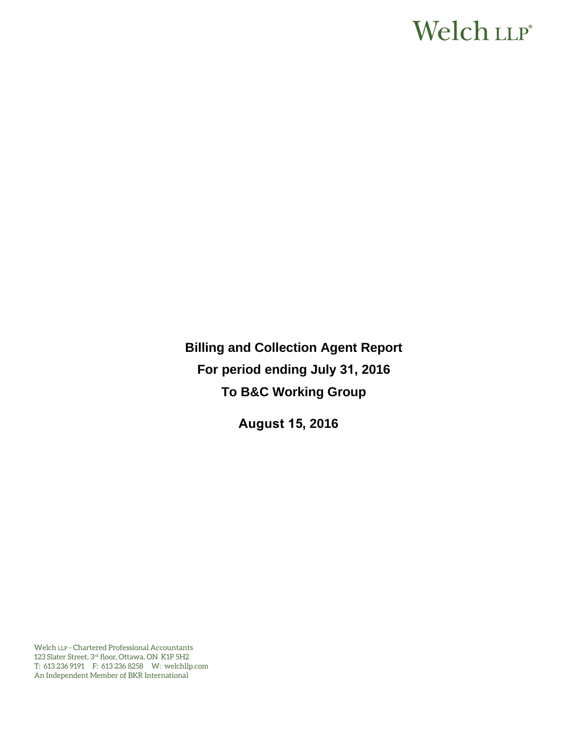# Welch LLP®

**Billing and Collection Agent Report For period ending July 31, 2016 To B&C Working Group** 

**August 15, 2016** 

Welch LLP - Chartered Professional Accountants 123 Slater Street, 3rd floor, Ottawa, ON K1P 5H2 T: 613 236 9191 F: 613 236 8258 W: welchllp.com An Independent Member of BKR International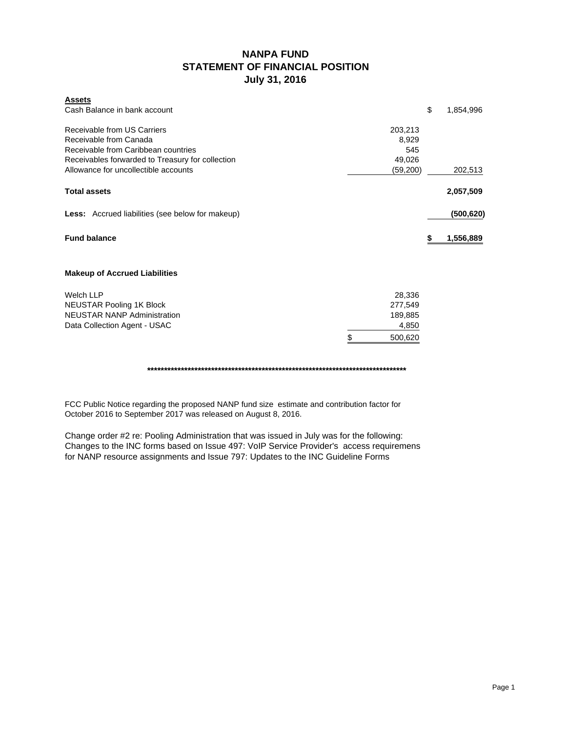# **NANPA FUND STATEMENT OF FINANCIAL POSITION July 31, 2016**

| <b>Assets</b><br>Cash Balance in bank account           |               | \$ |            |
|---------------------------------------------------------|---------------|----|------------|
|                                                         |               |    | 1,854,996  |
| Receivable from US Carriers                             | 203,213       |    |            |
| Receivable from Canada                                  | 8,929         |    |            |
| Receivable from Caribbean countries                     | 545           |    |            |
| Receivables forwarded to Treasury for collection        | 49,026        |    |            |
| Allowance for uncollectible accounts                    | (59, 200)     |    | 202,513    |
| <b>Total assets</b>                                     |               |    | 2,057,509  |
| <b>Less:</b> Accrued liabilities (see below for makeup) |               |    | (500, 620) |
| <b>Fund balance</b>                                     |               | S  | 1,556,889  |
| <b>Makeup of Accrued Liabilities</b>                    |               |    |            |
| Welch LLP                                               | 28,336        |    |            |
| <b>NEUSTAR Pooling 1K Block</b>                         | 277,549       |    |            |
| <b>NEUSTAR NANP Administration</b>                      | 189,885       |    |            |
| Data Collection Agent - USAC                            | 4,850         |    |            |
|                                                         | \$<br>500,620 |    |            |

**\*\*\*\*\*\*\*\*\*\*\*\*\*\*\*\*\*\*\*\*\*\*\*\*\*\*\*\*\*\*\*\*\*\*\*\*\*\*\*\*\*\*\*\*\*\*\*\*\*\*\*\*\*\*\*\*\*\*\*\*\*\*\*\*\*\*\*\*\*\*\*\*\*\*\*\*\***

FCC Public Notice regarding the proposed NANP fund size estimate and contribution factor for October 2016 to September 2017 was released on August 8, 2016.

Change order #2 re: Pooling Administration that was issued in July was for the following: Changes to the INC forms based on Issue 497: VoIP Service Provider's access requiremens for NANP resource assignments and Issue 797: Updates to the INC Guideline Forms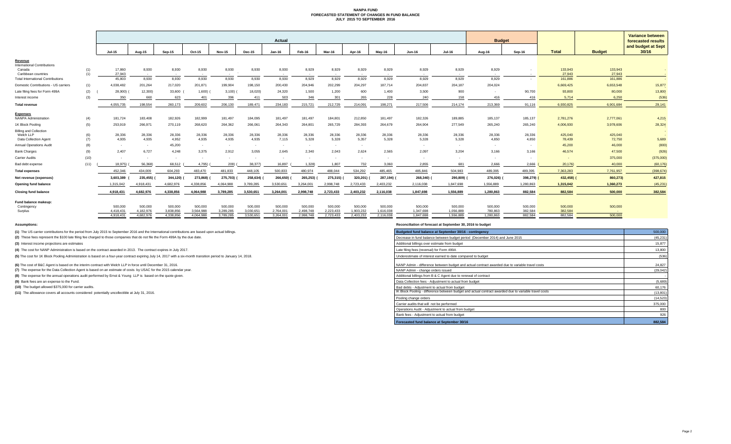#### **NANPA FUND FORECASTED STATEMENT OF CHANGES IN FUND BALANCE JULY 2015 TO SEPTEMBER 2016**

|                                          |            |                      |                      |                                   |                      |                      |                      | Actual               |                      |                      |                           |                      |                      |                      | <b>Budget</b>      |                    |                    |                   | <b>Variance between</b><br>forecasted results |
|------------------------------------------|------------|----------------------|----------------------|-----------------------------------|----------------------|----------------------|----------------------|----------------------|----------------------|----------------------|---------------------------|----------------------|----------------------|----------------------|--------------------|--------------------|--------------------|-------------------|-----------------------------------------------|
|                                          |            | <b>Jul-15</b>        | Aug-15               | Sep-15                            | Oct-15               | <b>Nov-15</b>        | <b>Dec-15</b>        | $Jan-16$             | Feb-16               | Mar-16               | Apr-16                    | Mav-16               | <b>Jun-16</b>        | Jul-16               | Aug-16             | Sep-16             | <b>Total</b>       | <b>Budget</b>     | and budget at Sept<br>30/16                   |
| Revenue                                  |            |                      |                      |                                   |                      |                      |                      |                      |                      |                      |                           |                      |                      |                      |                    |                    |                    |                   |                                               |
| <b>International Contributions</b>       |            |                      |                      |                                   |                      |                      |                      |                      |                      |                      |                           |                      |                      |                      |                    |                    |                    |                   |                                               |
| Canada<br>Caribbean countries            | (1)<br>(1) | 17,860<br>27.943     | 8,930<br>$\sim$      | 8,930<br><b>Contract Contract</b> | 8,930<br>$\sim 100$  | 8,930<br>$\sim 100$  | 8,930                | 8,930<br>$\sim$      | 8,929<br>$\sim$      | 8,929<br>$\sim$      | 8,929<br>$\sim$ 100 $\mu$ | 8,929<br>$\sim$      | 8,929<br>$\sim 100$  | 8,929<br>$\sim$      | 8,929<br>$\sim$    | $\sim$             | 133,943<br>27,943  | 133,943<br>27,943 |                                               |
| <b>Total International Contributions</b> |            | 45,803               | 8.930                | 8,930                             | 8,930                | 8,930                | 8.930                | 8,930                | 8.929                | 8,929                | 8.929                     | 8.929                | 8.929                | 8.929                | 8.929              | $\sim$             | 161,886            | 161,886           |                                               |
| Domestic Contributions - US carriers     | (1)        | 4,038,482            | 201,264              | 217,020                           | 201,871              | 199,904              | 198,150              | 200,430              | 204,946              | 202,299              | 204,297                   | 187,714              | 204,837              | 204,187              | 204,024            |                    | 6,669,425          | 6,653,548         | 15,877                                        |
| Late filing fees for Form 499A           | (2)        | 28,900)              | 12,300               | 33,600                            | 1,600)               | 3,100)               | 18,020)              | 24,320               | 1,500                | 1,200                | 600                       | 1,400                | 3,500                | 900                  |                    | 90,700             | 93,800             | 80,000            | 13,800                                        |
| Interest income                          | (3)        | 350                  | 660                  | 623                               | 401                  | 396                  | 411                  | 503                  | 346                  | 301                  | 265                       | 228                  | 240                  | 158                  | 416                | 416                | 5,714              | 6,250             | (536)                                         |
| <b>Total revenue</b>                     |            | 4.055.735            | 198,554              | 260,173                           | 209,602              | 206,130              | 189,471              | 234,183              | 215,721              | 212,729              | 214,091                   | 198,271              | 217,506              | 214.174              | 213,369            | 91.116             | 6.930.825          | 6.901.684         | 29,141                                        |
|                                          |            |                      |                      |                                   |                      |                      |                      |                      |                      |                      |                           |                      |                      |                      |                    |                    |                    |                   |                                               |
| <b>Expenses</b>                          |            |                      |                      |                                   |                      |                      |                      |                      |                      |                      |                           |                      |                      |                      |                    |                    |                    |                   |                                               |
| <b>NANPA Administration</b>              | (4)        | 181,724              | 183,408              | 182,926                           | 182,999              | 181,497              | 184,095              | 181,497              | 181,497              | 184,801              | 212,850                   | 181,497              | 182,326              | 189,885              | 185,137            | 185,137            | 2,781,276          | 2,777,061         | 4,215                                         |
| 1K Block Pooling                         | (5)        | 253,919              | 266,971              | 270,119                           | 268,620              | 264,362              | 266,061              | 264,343              | 264,801              | 265,729              | 284,393                   | 264,679              | 264,904              | 277,549              | 265,240            | 265,240            | 4,006,930          | 3,978,606         | 28,324                                        |
| <b>Billing and Collection</b>            |            |                      |                      |                                   |                      |                      |                      |                      |                      |                      |                           |                      |                      |                      |                    |                    |                    |                   |                                               |
| Welch LLP<br>Data Collection Agent       | (6)<br>(7) | 28,336<br>4.935      | 28,336<br>4,935      | 28,336<br>4,952                   | 28,336<br>4.935      | 28,336<br>4,935      | 28,336<br>4,935      | 28,336<br>7,115      | 28,336<br>5,328      | 28,336<br>5,328      | 28,336<br>5,357           | 28,336<br>5,328      | 28,336<br>5,328      | 28,336<br>5.328      | 28,336<br>4.850    | 28,336<br>4.850    | 425,040<br>78,439  | 425,040<br>72,750 | 5,689                                         |
| <b>Annual Operations Audit</b>           | (8)        | $\sim$               | $\sim$               | 45,200                            | $\sim$ $-$           | $\sim$ $-$           | $\sim$               | $\sim$               |                      | $\sim$               | $\sim$                    |                      | $\sim$               | $\overline{a}$       |                    | $\sim$             | 45,200             | 46,000            | (800)                                         |
| <b>Bank Charges</b>                      | (9)        | 2.407                | 6,727                | 4,248                             | 3.375                | 2,912                | 3.055                | 2,645                | 2.340                | 2,043                | 2.624                     | 2.565                | 2,097                | 3,204                | 3.166              | 3.166              | 46,574             | 47,500            | (926)                                         |
| Carrier Audits                           | (10)       | $\sim$               | $\sim$               | $\sim$                            | $\sim$               | $\sim$               | $\sim$               |                      |                      |                      |                           |                      |                      |                      |                    |                    |                    | 375,000           | (375,000)                                     |
| Bad debt expense                         | (11)       | 18.975)              | 56.368)              | 68,512                            | 4,795)               | 209)                 | 38,377)              | 16,897               | 1,328)               | 1,807                | 732                       | 3,060                | 2.855                | 681                  | 2.666              | 2.666              | 20,176)            | 40,000            | (60, 176)                                     |
|                                          |            | 452,346              |                      |                                   |                      |                      |                      |                      |                      |                      |                           |                      |                      | 504,983              |                    |                    |                    |                   |                                               |
| <b>Total expenses</b>                    |            |                      | 434,009              | 604,293                           | 483,470              | 481,833              | 448,105              | 500,833              | 480,974              | 488,044              | 534,292                   | 485,465              | 485,846              |                      | 489,395            | 489,395            | 7,363,283          | 7,761,957         | (398, 674)                                    |
| Net revenue (expenses)                   |            | 3,603,389            | 235,455)             | 344,120)                          | 273,868)             | 275,703)             | 258,634)             | 266,650)             | 265,253)             | 275,315)             | 320,201)                  | 287,194) (           | 268,340) (           | 290,809)             | 276,026)           | 398,279)           | 432,458)           | 860,273)          | 427,815                                       |
| <b>Opening fund balance</b>              |            | 1,315,042            | 4,918,431            | 4.682.976                         | 4.338.856            | 4.064.988            | 3,789,285            | 3,530,651            | 3.264.001            | 2.998.748            | 2,723,433                 | 2,403,232            | 2,116,038            | 1,847,698            | 1,556,889          | 1,280,863          | 1,315,042          | 1,360,273         | (45, 231)                                     |
| <b>Closing fund balance</b>              |            | 4.918.431            | 4,682,976            | 4.338.856                         | 4,064,988            | 3,789,285            | 3.530.651            | 3.264.001            | 2.998.748            | 2,723,433            | 2,403,232                 | 2,116,038            | 1,847,698            | 1.556.889            | 1.280.863          | 882,584            | 882.584            | 500,000           | 382,584                                       |
| Fund balance makeup:                     |            |                      |                      |                                   |                      |                      |                      |                      |                      |                      |                           |                      |                      |                      |                    |                    |                    |                   |                                               |
| Contingency                              |            | 500,000<br>4.418.431 | 500,000<br>4.182.976 | 500,000<br>3.838.856              | 500,000<br>3.564.988 | 500,000<br>3.289.285 | 500,000<br>3.030.651 | 500,000<br>2.764.001 | 500,000<br>2.498.748 | 500,000<br>2,223,433 | 500,000<br>1.903.232      | 500,000<br>1.616.038 | 500,000<br>1.347.698 | 500,000<br>1.056.889 | 500,000<br>780,863 | 500,000<br>382.584 | 500,000<br>382.584 | 500,000           |                                               |
| Surplus                                  |            | 4.918.431            | 4.682.976            | 4.338.856                         | 4.064.988            | 3.789.285            | 3.530.651            | 3.264.001            | 2.998.748            | 2.723.433            | 2.403.232                 | 2.116.038            | 1.847.698            | 1.556.889            | 1.280.863          | 882.584            | 882.584            | 500,000           |                                               |

**(1)** The US carrier contributions for the period from July 2015 to September 2016 and the International contributions are based upon actual billings.

(2) These fees represent the \$100 late filing fee charged to those companies that do not file the Form 499A by the due date.

**(3)** Interest income projections are estimates

**(4)** The cost for NANP Administration is based on the contract awarded in 2013. The contract expires in July 2017.

(5) The cost for 1K Block Pooling Administration is based on a four-year contract expiring July 14, 2017 with a six-month transition period to January 14, 2018.

**(6)** The cost of B&C Agent is based on the interim contract with Welch LLP in force until December 31, 2016.

**(7)** The expense for the Data Collection Agent is based on an estimate of costs by USAC for the 2015 calendar year.

**(8)** The expense for the annual operations audit performed by Ernst & Young LLP is based on the quote given.

**(9)** Bank fees are an expense to the Fund.

**(10)** The budget allowed \$375,000 for carrier audits.

**(11)** The allowance covers all accounts considered potentially uncollectible at July 31, 2016.

**Assumptions: Reconciliation of forecast at September 30, 2016 to budget**

| Budgeted fund balance at September 30/16 - contingency                                                | 500,000   |
|-------------------------------------------------------------------------------------------------------|-----------|
| Decrease in fund balance between budget period (December 2014) and June 2015                          | (45, 231) |
| Additional billings over estimate from budget                                                         | 15,877    |
| Late filing fees (reversal) for Form 499A                                                             | 13,800    |
| Underestimate of interest earned to date compared to budget                                           | (536)     |
| NANP Admin - difference between budget and actual contract awarded due to variable travel costs       | 24.827    |
| NANP Admin - change orders issued                                                                     | (29, 042) |
| Additional billings from B & C Agent due to renewal of contract                                       |           |
| Data Collection fees - Adjustment to actual from budget                                               | (5,689)   |
| Bad debts - Adjustment to actual from budget                                                          | 60,176    |
| IK Block Pooling - difference between budget and actual contract awarded due to variable travel costs | (13,801)  |
| Pooling change orders                                                                                 | (14, 523) |
| Carrier audits that will not be performed                                                             | 375,000   |
| Operations Audit - Adjustment to actual from budget                                                   | 800       |
| Bank fees - Adjustment to actual from budget                                                          | 926       |
| Forecasted fund balance at September 30/16                                                            | 882,584   |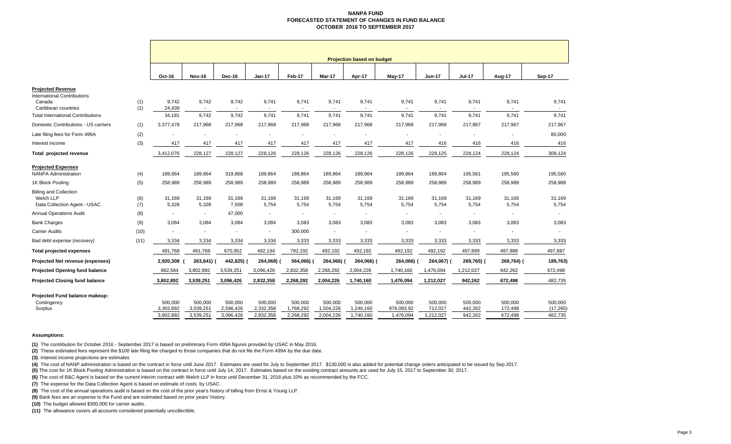#### **NANPA FUND FORECASTED STATEMENT OF CHANGES IN FUND BALANCE OCTOBER 2016 TO SEPTEMBER 2017**

|                                                                            |            | <b>Projection based on budget</b> |                                   |                                   |                                   |                                   |                                   |                                   |                                    |                                 |                               |                               |                                 |
|----------------------------------------------------------------------------|------------|-----------------------------------|-----------------------------------|-----------------------------------|-----------------------------------|-----------------------------------|-----------------------------------|-----------------------------------|------------------------------------|---------------------------------|-------------------------------|-------------------------------|---------------------------------|
|                                                                            |            | Oct-16                            | <b>Nov-16</b>                     | Dec-16                            | <b>Jan-17</b>                     | Feb-17                            | Mar-17                            | Apr-17                            | May-17                             | <b>Jun-17</b>                   | <b>Jul-17</b>                 | Aug-17                        | Sep-17                          |
| <b>Projected Revenue</b>                                                   |            |                                   |                                   |                                   |                                   |                                   |                                   |                                   |                                    |                                 |                               |                               |                                 |
| <b>International Contributions</b><br>Canada<br>Caribbean countries        | (1)<br>(1) | 9,742<br>24,439                   | 9,742<br>$\sim$                   | 9,742                             | 9,741<br>$\sim$                   | 9,741                             | 9,741                             | 9,741                             | 9,741                              | 9,741                           | 9,741                         | 9,741<br>$\sim$               | 9,741                           |
| <b>Total International Contributions</b>                                   |            | 34,181                            | 9.742                             | 9,742                             | 9.741                             | 9.741                             | 9,741                             | 9,741                             | 9,741                              | 9.741                           | 9,741                         | 9,741                         | 9,741                           |
| Domestic Contributions - US carriers                                       | (1)        | 3,377,478                         | 217,968                           | 217,968                           | 217,968                           | 217,968                           | 217,968                           | 217,968                           | 217,968                            | 217,968                         | 217,967                       | 217,967                       | 217,967                         |
| Late filing fees for Form 499A                                             | (2)        |                                   |                                   |                                   |                                   |                                   | $\blacksquare$                    |                                   |                                    |                                 |                               |                               | 80,000                          |
| Interest income                                                            | (3)        | 417                               | 417                               | 417                               | 417                               | 417                               | 417                               | 417                               | 417                                | 416                             | 416                           | 416                           | 416                             |
| Total projected revenue                                                    |            | 3,412,076                         | 228,127                           | 228,127                           | 228,126                           | 228,126                           | 228,126                           | 228,126                           | 228,126                            | 228,125                         | 228,124                       | 228,124                       | 308,124                         |
| <b>Projected Expenses</b><br><b>NANPA Administration</b>                   | (4)        | 189.864                           | 189,864                           | 319,868                           | 189.864                           | 189,864                           | 189,864                           | 189,864                           | 189,864                            | 189,864                         | 195,561                       | 195,560                       | 195,560                         |
| 1K Block Pooling                                                           | (5)        | 258,989                           | 258,989                           | 258,989                           | 258,989                           | 258,989                           | 258,989                           | 258,989                           | 258,989                            | 258,989                         | 258,989                       | 258,989                       | 258,988                         |
| <b>Billing and Collection</b><br>Welch LLP<br>Data Collection Agent - USAC | (6)<br>(7) | 31,169<br>5,328                   | 31,169<br>5,328                   | 31,169<br>7,508                   | 31,169<br>5.754                   | 31,169<br>5,754                   | 31,169<br>5,754                   | 31,169<br>5,754                   | 31,169<br>5,754                    | 31,169<br>5,754                 | 31,169<br>5,754               | 31,169<br>5,754               | 31,169<br>5,754                 |
| <b>Annual Operations Audit</b>                                             | (8)        | $\overline{a}$                    | $\sim$                            | 47,000                            | $\sim$                            | $\overline{\phantom{a}}$          | $\blacksquare$                    |                                   |                                    | $\blacksquare$                  | $\overline{\phantom{a}}$      | $\sim$                        |                                 |
| <b>Bank Charges</b>                                                        | (9)        | 3,084                             | 3,084                             | 3,084                             | 3,084                             | 3,083                             | 3,083                             | 3,083                             | 3,083                              | 3,083                           | 3,083                         | 3,083                         | 3,083                           |
| <b>Carrier Audits</b>                                                      | (10)       | $\blacksquare$                    | $\sim$                            | $\blacksquare$                    | $\sim$                            | 300,000                           | $\blacksquare$                    | $\overline{\phantom{a}}$          | $\sim$                             | $\blacksquare$                  | $\blacksquare$                | $\overline{\phantom{a}}$      | $\sim$                          |
| Bad debt expense (recovery)                                                | (11)       | 3,334                             | 3,334                             | 3,334                             | 3,334                             | 3,333                             | 3,333                             | 3,333                             | 3,333                              | 3,333                           | 3,333                         | 3,333                         | 3,333                           |
| <b>Total projected expenses</b>                                            |            | 491,768                           | 491,768                           | 670,952                           | 492,194                           | 792,192                           | 492,192                           | 492,192                           | 492,192                            | 492,192                         | 497,889                       | 497,888                       | 497,887                         |
| Projected Net revenue (expenses)                                           |            | 2,920,308                         | 263,641)                          | 442,825)                          | 264,068)                          | 564,066) (                        | 264,066)                          | 264,066)                          | 264,066)                           | 264,067)                        | 269,765) (                    | 269,764) (                    | 189,763)                        |
| <b>Projected Opening fund balance</b>                                      |            | 882,584                           | 3,802,892                         | 3,539,251                         | 3,096,426                         | 2,832,358                         | 2,268,292                         | 2,004,226                         | 1,740,160                          | 1,476,094                       | 1,212,027                     | 942,262                       | 672,498                         |
| <b>Projected Closing fund balance</b>                                      |            | 3,802,892                         | 3,539,251                         | 3,096,426                         | 2,832,358                         | 2,268,292                         | 2,004,226                         | 1,740,160                         | 1,476,094                          | 1,212,027                       | 942,262                       | 672,498                       | 482,735                         |
| Projected Fund balance makeup:<br>Contingency<br>Surplus                   |            | 500,000<br>3,302,892<br>3,802,892 | 500,000<br>3,039,251<br>3,539,251 | 500,000<br>2,596,426<br>3,096,426 | 500,000<br>2,332,358<br>2,832,358 | 500,000<br>1,768,292<br>2,268,292 | 500,000<br>1,504,226<br>2,004,226 | 500,000<br>1,240,160<br>1,740,160 | 500,000<br>976,093.92<br>1,476,094 | 500,000<br>712,027<br>1,212,027 | 500,000<br>442,262<br>942,262 | 500,000<br>172,498<br>672,498 | 500,000<br>(17, 265)<br>482,735 |
|                                                                            |            |                                   |                                   |                                   |                                   |                                   |                                   |                                   |                                    |                                 |                               |                               |                                 |

#### **Assumptions:**

**(1)** The contribution for October 2016 - September 2017 is based on preliminary Form 499A figures provided by USAC in May 2016.

**(2)** These estimated fees represent the \$100 late filing fee charged to those companies that do not file the Form 499A by the due date.

**(3)** Interest income projections are estimates

(4) The cost of NANP administration is based on the contract in force until June 2017. Estimates are used for July to September 2017. \$130,000 is also added for potential change orders anticipated to be issued by Sep 2017.

**(5)** The cost for 1K Block Pooling Administration is based on the contract in force until July 14, 2017. Estimates based on the existing contract amounts are used for July 15, 2017 to September 30, 2017.

**(6)** The cost of B&C Agent is based on the current interim contract with Welch LLP in force until December 31, 2016 plus 10% as recommended by the FCC.

**(7)** The expense for the Data Collection Agent is based on estimate of costs by USAC.

**(8)** The cost of the annual operations audit is based on the cost of the prior year's history of billing from Ernst & Young LLP.

**(9)** Bank fees are an expense to the Fund and are estimated based on prior years' history.

**(10)** The budget allowed \$300,000 for carrier audits.

**(11)** The allowance covers all accounts considered potentially uncollectible.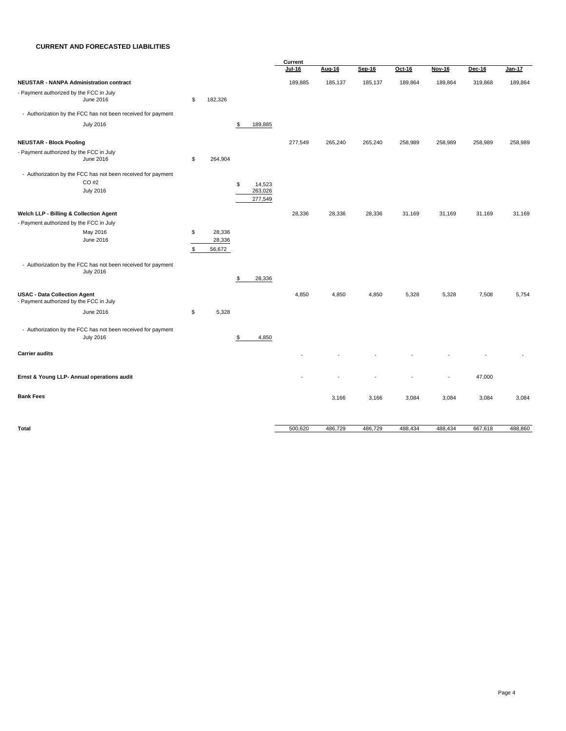#### **CURRENT AND FORECASTED LIABILITIES**

|                                                                                           |                        |                                    | Current       |         |               |         |                          |               |               |
|-------------------------------------------------------------------------------------------|------------------------|------------------------------------|---------------|---------|---------------|---------|--------------------------|---------------|---------------|
|                                                                                           |                        |                                    | <b>Jul-16</b> | Aug-16  | <b>Sep-16</b> | Oct-16  | <b>Nov-16</b>            | <b>Dec-16</b> | <b>Jan-17</b> |
| <b>NEUSTAR - NANPA Administration contract</b>                                            |                        |                                    | 189,885       | 185,137 | 185,137       | 189,864 | 189,864                  | 319,868       | 189,864       |
| - Payment authorized by the FCC in July<br>June 2016                                      | \$<br>182,326          |                                    |               |         |               |         |                          |               |               |
| - Authorization by the FCC has not been received for payment                              |                        |                                    |               |         |               |         |                          |               |               |
| <b>July 2016</b>                                                                          |                        | \$<br>189,885                      |               |         |               |         |                          |               |               |
| <b>NEUSTAR - Block Pooling</b>                                                            |                        |                                    | 277,549       | 265,240 | 265,240       | 258,989 | 258,989                  | 258,989       | 258,989       |
| - Payment authorized by the FCC in July<br>June 2016                                      | \$<br>264,904          |                                    |               |         |               |         |                          |               |               |
| - Authorization by the FCC has not been received for payment<br>CO #2<br><b>July 2016</b> |                        | \$<br>14,523<br>263,026<br>277,549 |               |         |               |         |                          |               |               |
| Welch LLP - Billing & Collection Agent                                                    |                        |                                    | 28,336        | 28,336  | 28,336        | 31,169  | 31,169                   | 31,169        | 31,169        |
| - Payment authorized by the FCC in July                                                   |                        |                                    |               |         |               |         |                          |               |               |
| May 2016                                                                                  | \$<br>28,336           |                                    |               |         |               |         |                          |               |               |
| June 2016                                                                                 | \$<br>28,336<br>56,672 |                                    |               |         |               |         |                          |               |               |
| - Authorization by the FCC has not been received for payment<br><b>July 2016</b>          |                        | \$<br>28,336                       |               |         |               |         |                          |               |               |
| <b>USAC - Data Collection Agent</b><br>- Payment authorized by the FCC in July            |                        |                                    | 4,850         | 4,850   | 4,850         | 5,328   | 5,328                    | 7,508         | 5,754         |
| June 2016                                                                                 | \$<br>5,328            |                                    |               |         |               |         |                          |               |               |
| - Authorization by the FCC has not been received for payment<br><b>July 2016</b>          |                        | \$<br>4,850                        |               |         |               |         |                          |               |               |
| <b>Carrier audits</b>                                                                     |                        |                                    |               |         |               |         |                          |               |               |
| Ernst & Young LLP- Annual operations audit                                                |                        |                                    |               |         |               |         | $\overline{\phantom{a}}$ | 47,000        |               |
| <b>Bank Fees</b>                                                                          |                        |                                    |               | 3,166   | 3,166         | 3,084   | 3,084                    | 3,084         | 3,084         |
|                                                                                           |                        |                                    |               |         |               |         |                          |               |               |
| <b>Total</b>                                                                              |                        |                                    | 500,620       | 486,729 | 486,729       | 488,434 | 488,434                  | 667,618       | 488,860       |